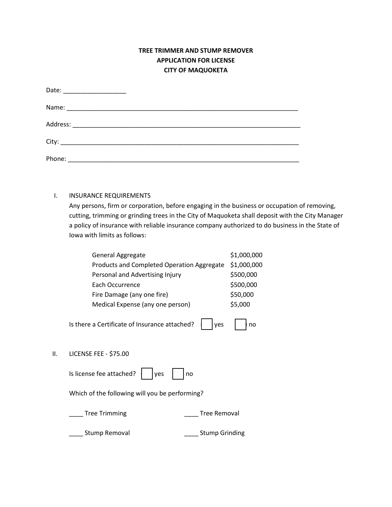## **TREE TRIMMER AND STUMP REMOVER APPLICATION FOR LICENSE CITY OF MAQUOKETA**

| Date: ____________________ |  |  |
|----------------------------|--|--|
|                            |  |  |
|                            |  |  |
|                            |  |  |
| Phone:                     |  |  |

## I. INSURANCE REQUIREMENTS

Any persons, firm or corporation, before engaging in the business or occupation of removing, cutting, trimming or grinding trees in the City of Maquoketa shall deposit with the City Manager a policy of insurance with reliable insurance company authorized to do business in the State of Iowa with limits as follows:

|    | <b>General Aggregate</b>                             | \$1,000,000 |
|----|------------------------------------------------------|-------------|
|    | Products and Completed Operation Aggregate           | \$1,000,000 |
|    | Personal and Advertising Injury                      | \$500,000   |
|    | Each Occurrence                                      | \$500,000   |
|    | Fire Damage (any one fire)                           | \$50,000    |
|    | Medical Expense (any one person)                     | \$5,000     |
|    | Is there a Certificate of Insurance attached?<br>ves | no          |
| Ш. | <b>LICENSE FEE - \$75.00</b>                         |             |

| Is license fee attached? $\parallel$ |  | yes |  | no |
|--------------------------------------|--|-----|--|----|
|--------------------------------------|--|-----|--|----|

Which of the following will you be performing?

Lacker Trimming **Example 20** and the Tree Removal

\_\_\_\_ Stump Removal \_\_\_\_ Stump Grinding